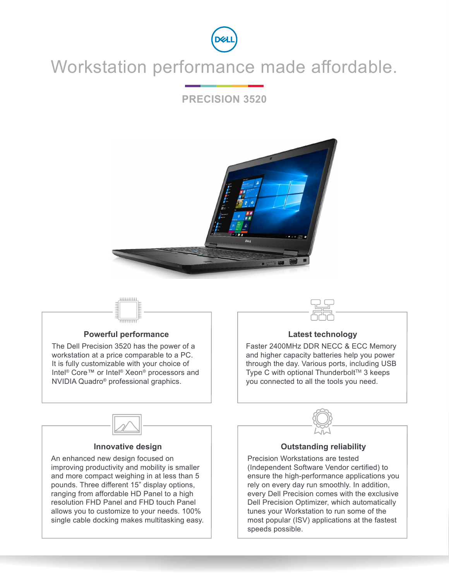

## Workstation performance made affordable.

### **PRECISION 3520**



# \*\*\*\*\*\*\*\*\*

#### **Powerful performance**

The Dell Precision 3520 has the power of a workstation at a price comparable to a PC. It is fully customizable with your choice of Intel® Core™ or Intel® Xeon® processors and NVIDIA Quadro® professional graphics.



#### **Latest technology**

Faster 2400MHz DDR NECC & ECC Memory and higher capacity batteries help you power through the day. Various ports, including USB Type C with optional Thunderbolt<sup> $TM$ </sup> 3 keeps you connected to all the tools you need.



#### **Innovative design**

An enhanced new design focused on improving productivity and mobility is smaller and more compact weighing in at less than 5 pounds. Three different 15" display options, ranging from affordable HD Panel to a high resolution FHD Panel and FHD touch Panel allows you to customize to your needs. 100% single cable docking makes multitasking easy.



#### **Outstanding reliability**

Precision Workstations are tested (Independent Software Vendor certified) to ensure the high-performance applications you rely on every day run smoothly. In addition, every Dell Precision comes with the exclusive Dell Precision Optimizer, which automatically tunes your Workstation to run some of the most popular (ISV) applications at the fastest speeds possible.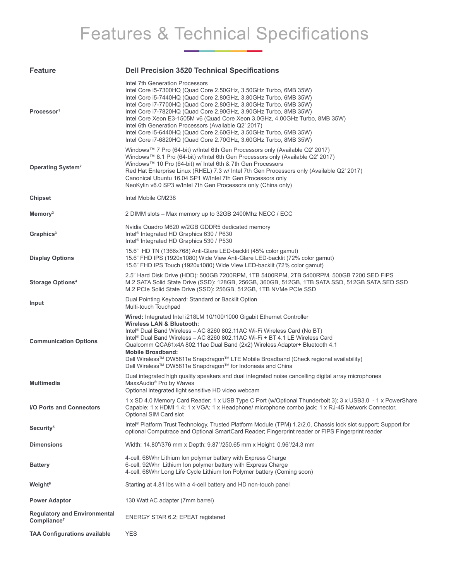# Features & Technical Specifications

| <b>Feature</b>                                                 | <b>Dell Precision 3520 Technical Specifications</b>                                                                                                                                                                                                                                                                                                                                                                                                                                                                                                                                            |
|----------------------------------------------------------------|------------------------------------------------------------------------------------------------------------------------------------------------------------------------------------------------------------------------------------------------------------------------------------------------------------------------------------------------------------------------------------------------------------------------------------------------------------------------------------------------------------------------------------------------------------------------------------------------|
| Processor <sup>1</sup>                                         | Intel 7th Generation Processors<br>Intel Core i5-7300HQ (Quad Core 2.50GHz, 3.50GHz Turbo, 6MB 35W)<br>Intel Core i5-7440HQ (Quad Core 2.80GHz, 3.80GHz Turbo, 6MB 35W)<br>Intel Core i7-7700HQ (Quad Core 2.80GHz, 3.80GHz Turbo, 6MB 35W)<br>Intel Core i7-7820HQ (Quad Core 2.90GHz, 3.90GHz Turbo, 8MB 35W)<br>Intel Core Xeon E3-1505M v6 (Quad Core Xeon 3.0GHz, 4.00GHz Turbo, 8MB 35W)<br>Intel 6th Generation Processors (Available Q2' 2017)<br>Intel Core i5-6440HQ (Quad Core 2.60GHz, 3.50GHz Turbo, 6MB 35W)<br>Intel Core i7-6820HQ (Quad Core 2.70GHz, 3.60GHz Turbo, 8MB 35W) |
| <b>Operating System<sup>2</sup></b>                            | Windows™ 7 Pro (64-bit) w/Intel 6th Gen Processors only (Available Q2' 2017)<br>Windows™ 8.1 Pro (64-bit) w/Intel 6th Gen Processors only (Available Q2' 2017)<br>Windows™ 10 Pro (64-bit) w/ Intel 6th & 7th Gen Processors<br>Red Hat Enterprise Linux (RHEL) 7.3 w/ Intel 7th Gen Processors only (Available Q2' 2017)<br>Canonical Ubuntu 16.04 SP1 W/Intel 7th Gen Processors only<br>NeoKylin v6.0 SP3 w/Intel 7th Gen Processors only (China only)                                                                                                                                      |
| <b>Chipset</b>                                                 | Intel Mobile CM238                                                                                                                                                                                                                                                                                                                                                                                                                                                                                                                                                                             |
| Memory <sup>3</sup>                                            | 2 DIMM slots – Max memory up to 32GB 2400Mhz NECC / ECC                                                                                                                                                                                                                                                                                                                                                                                                                                                                                                                                        |
| Graphics <sup>3</sup>                                          | Nvidia Quadro M620 w/2GB GDDR5 dedicated memory<br>Intel <sup>®</sup> Integrated HD Graphics 630 / P630<br>Intel <sup>®</sup> Integrated HD Graphics 530 / P530                                                                                                                                                                                                                                                                                                                                                                                                                                |
| <b>Display Options</b>                                         | 15.6" HD TN (1366x768) Anti-Glare LED-backlit (45% color gamut)<br>15.6" FHD IPS (1920x1080) Wide View Anti-Glare LED-backlit (72% color gamut)<br>15.6" FHD IPS Touch (1920x1080) Wide View LED-backlit (72% color gamut)                                                                                                                                                                                                                                                                                                                                                                     |
| <b>Storage Options4</b>                                        | 2.5" Hard Disk Drive (HDD): 500GB 7200RPM, 1TB 5400RPM, 2TB 5400RPM, 500GB 7200 SED FIPS<br>M.2 SATA Solid State Drive (SSD): 128GB, 256GB, 360GB, 512GB, 1TB SATA SSD, 512GB SATA SED SSD<br>M.2 PCIe Solid State Drive (SSD): 256GB, 512GB, 1TB NVMe PCIe SSD                                                                                                                                                                                                                                                                                                                                |
| Input                                                          | Dual Pointing Keyboard: Standard or Backlit Option<br>Multi-touch Touchpad                                                                                                                                                                                                                                                                                                                                                                                                                                                                                                                     |
| <b>Communication Options</b>                                   | Wired: Integrated Intel i218LM 10/100/1000 Gigabit Ethernet Controller<br>Wireless LAN & Bluetooth:<br>Intel® Dual Band Wireless - AC 8260 802.11AC Wi-Fi Wireless Card (No BT)<br>Intel® Dual Band Wireless - AC 8260 802.11AC Wi-Fi + BT 4.1 LE Wireless Card<br>Qualcomm QCA61x4A 802.11ac Dual Band (2x2) Wireless Adapter+ Bluetooth 4.1<br><b>Mobile Broadband:</b><br>Dell Wireless™ DW5811e Snapdragon™ LTE Mobile Broadband (Check regional availability)<br>Dell Wireless™ DW5811e Snapdragon™ for Indonesia and China                                                               |
| <b>Multimedia</b>                                              | Dual integrated high quality speakers and dual integrated noise cancelling digital array microphones<br>MaxxAudio <sup>®</sup> Pro by Waves<br>Optional integrated light sensitive HD video webcam                                                                                                                                                                                                                                                                                                                                                                                             |
| I/O Ports and Connectors                                       | 1 x SD 4.0 Memory Card Reader; 1 x USB Type C Port (w/Optional Thunderbolt 3); 3 x USB3.0 - 1 x PowerShare<br>Capable; 1 x HDMI 1.4; 1 x VGA; 1 x Headphone/ microphone combo jack; 1 x RJ-45 Network Connector,<br>Optional SIM Card slot                                                                                                                                                                                                                                                                                                                                                     |
| Security <sup>5</sup>                                          | Intel® Platform Trust Technology, Trusted Platform Module (TPM) 1.2/2.0, Chassis lock slot support; Support for<br>optional Computrace and Optional SmartCard Reader; Fingerprint reader or FIPS Fingerprint reader                                                                                                                                                                                                                                                                                                                                                                            |
| <b>Dimensions</b>                                              | Width: 14.80"/376 mm x Depth: 9.87"/250.65 mm x Height: 0.96"/24.3 mm                                                                                                                                                                                                                                                                                                                                                                                                                                                                                                                          |
| <b>Battery</b>                                                 | 4-cell, 68Whr Lithium Ion polymer battery with Express Charge<br>6-cell, 92Whr Lithium Ion polymer battery with Express Charge<br>4-cell, 68Whr Long Life Cycle Lithium Ion Polymer battery (Coming soon)                                                                                                                                                                                                                                                                                                                                                                                      |
| <b>Weight<sup>6</sup></b>                                      | Starting at 4.81 lbs with a 4-cell battery and HD non-touch panel                                                                                                                                                                                                                                                                                                                                                                                                                                                                                                                              |
| <b>Power Adaptor</b>                                           | 130 Watt AC adapter (7mm barrel)                                                                                                                                                                                                                                                                                                                                                                                                                                                                                                                                                               |
| <b>Regulatory and Environmental</b><br>Compliance <sup>7</sup> | ENERGY STAR 6.2; EPEAT registered                                                                                                                                                                                                                                                                                                                                                                                                                                                                                                                                                              |
| <b>TAA Configurations available</b>                            | <b>YES</b>                                                                                                                                                                                                                                                                                                                                                                                                                                                                                                                                                                                     |